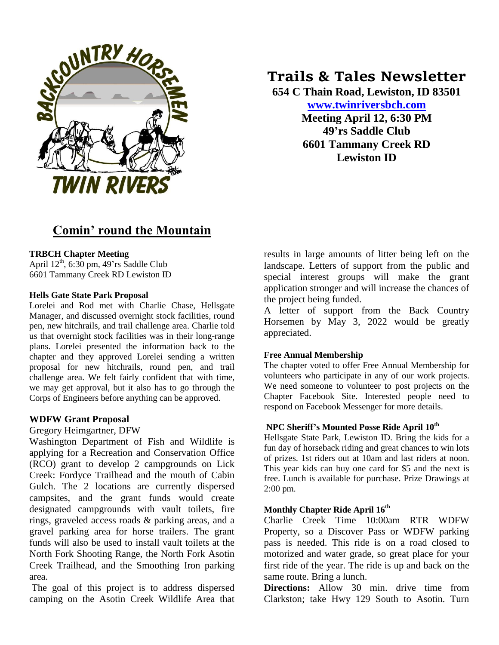

# **Comin' round the Mountain**

#### **TRBCH Chapter Meeting**

April  $12<sup>th</sup>$ , 6:30 pm, 49'rs Saddle Club 6601 Tammany Creek RD Lewiston ID

#### **Hells Gate State Park Proposal**

Lorelei and Rod met with Charlie Chase, Hellsgate Manager, and discussed overnight stock facilities, round pen, new hitchrails, and trail challenge area. Charlie told us that overnight stock facilities was in their long-range plans. Lorelei presented the information back to the chapter and they approved Lorelei sending a written proposal for new hitchrails, round pen, and trail challenge area. We felt fairly confident that with time, we may get approval, but it also has to go through the Corps of Engineers before anything can be approved.

#### **WDFW Grant Proposal**

Gregory Heimgartner, DFW

Washington Department of Fish and Wildlife is applying for a Recreation and Conservation Office (RCO) grant to develop 2 campgrounds on Lick Creek: Fordyce Trailhead and the mouth of Cabin Gulch. The 2 locations are currently dispersed campsites, and the grant funds would create designated campgrounds with vault toilets, fire rings, graveled access roads & parking areas, and a gravel parking area for horse trailers. The grant funds will also be used to install vault toilets at the North Fork Shooting Range, the North Fork Asotin Creek Trailhead, and the Smoothing Iron parking area.

The goal of this project is to address dispersed camping on the Asotin Creek Wildlife Area that

# **Trails & Tales Newsletter**

**654 C Thain Road, Lewiston, ID 83501 [www.twinriversbch.com](http://www.twinriversbch.com/) Meeting April 12, 6:30 PM**

**49'rs Saddle Club 6601 Tammany Creek RD Lewiston ID**

results in large amounts of litter being left on the landscape. Letters of support from the public and special interest groups will make the grant application stronger and will increase the chances of the project being funded.

A letter of support from the Back Country Horsemen by May 3, 2022 would be greatly appreciated.

#### **Free Annual Membership**

The chapter voted to offer Free Annual Membership for volunteers who participate in any of our work projects. We need someone to volunteer to post projects on the Chapter Facebook Site. Interested people need to respond on Facebook Messenger for more details.

#### **NPC Sheriff's Mounted Posse Ride April 10 th**

Hellsgate State Park, Lewiston ID. Bring the kids for a fun day of horseback riding and great chances to win lots of prizes. 1st riders out at 10am and last riders at noon. This year kids can buy one card for \$5 and the next is free. Lunch is available for purchase. Prize Drawings at 2:00 pm.

#### **Monthly Chapter Ride April 16th**

Charlie Creek Time 10:00am RTR WDFW Property, so a Discover Pass or WDFW parking pass is needed. This ride is on a road closed to motorized and water grade, so great place for your first ride of the year. The ride is up and back on the same route. Bring a lunch.

**Directions:** Allow 30 min. drive time from Clarkston; take Hwy 129 South to Asotin. Turn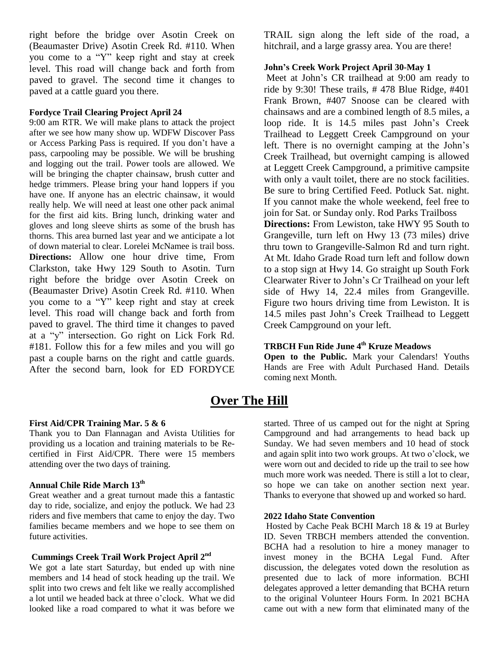right before the bridge over Asotin Creek on (Beaumaster Drive) Asotin Creek Rd. #110. When you come to a "Y" keep right and stay at creek level. This road will change back and forth from paved to gravel. The second time it changes to paved at a cattle guard you there.

#### **Fordyce Trail Clearing Project April 24**

9:00 am RTR. We will make plans to attack the project after we see how many show up. WDFW Discover Pass or Access Parking Pass is required. If you don't have a pass, carpooling may be possible. We will be brushing and logging out the trail. Power tools are allowed. We will be bringing the chapter chainsaw, brush cutter and hedge trimmers. Please bring your hand loppers if you have one. If anyone has an electric chainsaw, it would really help. We will need at least one other pack animal for the first aid kits. Bring lunch, drinking water and gloves and long sleeve shirts as some of the brush has thorns. This area burned last year and we anticipate a lot of down material to clear. Lorelei McNamee is trail boss. **Directions:** Allow one hour drive time, From Clarkston, take Hwy 129 South to Asotin. Turn right before the bridge over Asotin Creek on (Beaumaster Drive) Asotin Creek Rd. #110. When you come to a "Y" keep right and stay at creek level. This road will change back and forth from paved to gravel. The third time it changes to paved at a "y" intersection. Go right on Lick Fork Rd. #181. Follow this for a few miles and you will go past a couple barns on the right and cattle guards. After the second barn, look for ED FORDYCE

TRAIL sign along the left side of the road, a hitchrail, and a large grassy area. You are there!

#### **John's Creek Work Project April 30-May 1**

Meet at John's CR trailhead at 9:00 am ready to ride by 9:30! These trails,  $\#$  478 Blue Ridge,  $\#401$ Frank Brown, #407 Snoose can be cleared with chainsaws and are a combined length of 8.5 miles, a loop ride. It is 14.5 miles past John's Creek Trailhead to Leggett Creek Campground on your left. There is no overnight camping at the John's Creek Trailhead, but overnight camping is allowed at Leggett Creek Campground, a primitive campsite with only a vault toilet, there are no stock facilities. Be sure to bring Certified Feed. Potluck Sat. night. If you cannot make the whole weekend, feel free to join for Sat. or Sunday only. Rod Parks Trailboss **Directions:** From Lewiston, take HWY 95 South to

Grangeville, turn left on Hwy 13 (73 miles) drive thru town to Grangeville-Salmon Rd and turn right. At Mt. Idaho Grade Road turn left and follow down to a stop sign at Hwy 14. Go straight up South Fork Clearwater River to John's Cr Trailhead on your left side of Hwy 14, 22.4 miles from Grangeville. Figure two hours driving time from Lewiston. It is 14.5 miles past John's Creek Trailhead to Leggett Creek Campground on your left.

#### **TRBCH Fun Ride June 4th Kruze Meadows**

**Open to the Public.** Mark your Calendars! Youths Hands are Free with Adult Purchased Hand. Details coming next Month.

### **Over The Hill**

#### **First Aid/CPR Training Mar. 5 & 6**

Thank you to Dan Flannagan and Avista Utilities for providing us a location and training materials to be Recertified in First Aid/CPR. There were 15 members attending over the two days of training.

#### **Annual Chile Ride March 13th**

Great weather and a great turnout made this a fantastic day to ride, socialize, and enjoy the potluck. We had 23 riders and five members that came to enjoy the day. Two families became members and we hope to see them on future activities.

#### **Cummings Creek Trail Work Project April 2nd**

We got a late start Saturday, but ended up with nine members and 14 head of stock heading up the trail. We split into two crews and felt like we really accomplished a lot until we headed back at three o'clock. What we did looked like a road compared to what it was before we

started. Three of us camped out for the night at Spring Campground and had arrangements to head back up Sunday. We had seven members and 10 head of stock and again split into two work groups. At two o'clock, we were worn out and decided to ride up the trail to see how much more work was needed. There is still a lot to clear, so hope we can take on another section next year. Thanks to everyone that showed up and worked so hard.

#### **2022 Idaho State Convention**

Hosted by Cache Peak BCHI March 18 & 19 at Burley ID. Seven TRBCH members attended the convention. BCHA had a resolution to hire a money manager to invest money in the BCHA Legal Fund. After discussion, the delegates voted down the resolution as presented due to lack of more information. BCHI delegates approved a letter demanding that BCHA return to the original Volunteer Hours Form. In 2021 BCHA came out with a new form that eliminated many of the